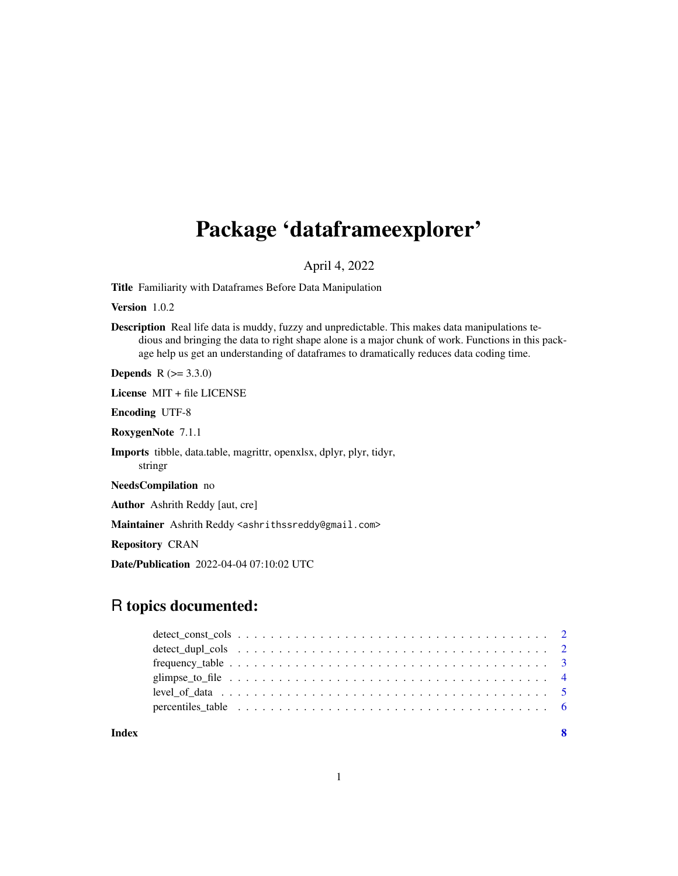## Package 'dataframeexplorer'

## April 4, 2022

Title Familiarity with Dataframes Before Data Manipulation

Version 1.0.2

Description Real life data is muddy, fuzzy and unpredictable. This makes data manipulations tedious and bringing the data to right shape alone is a major chunk of work. Functions in this package help us get an understanding of dataframes to dramatically reduces data coding time.

**Depends** R  $(>= 3.3.0)$ 

License MIT + file LICENSE

Encoding UTF-8

RoxygenNote 7.1.1

Imports tibble, data.table, magrittr, openxlsx, dplyr, plyr, tidyr, stringr

NeedsCompilation no

Author Ashrith Reddy [aut, cre]

Maintainer Ashrith Reddy <ashrithssreddy@gmail.com>

Repository CRAN

Date/Publication 2022-04-04 07:10:02 UTC

## R topics documented:

| percentiles table $\ldots \ldots \ldots \ldots \ldots \ldots \ldots \ldots \ldots \ldots \ldots \ldots$ |  |
|---------------------------------------------------------------------------------------------------------|--|
|                                                                                                         |  |

**Index** [8](#page-7-0) **8**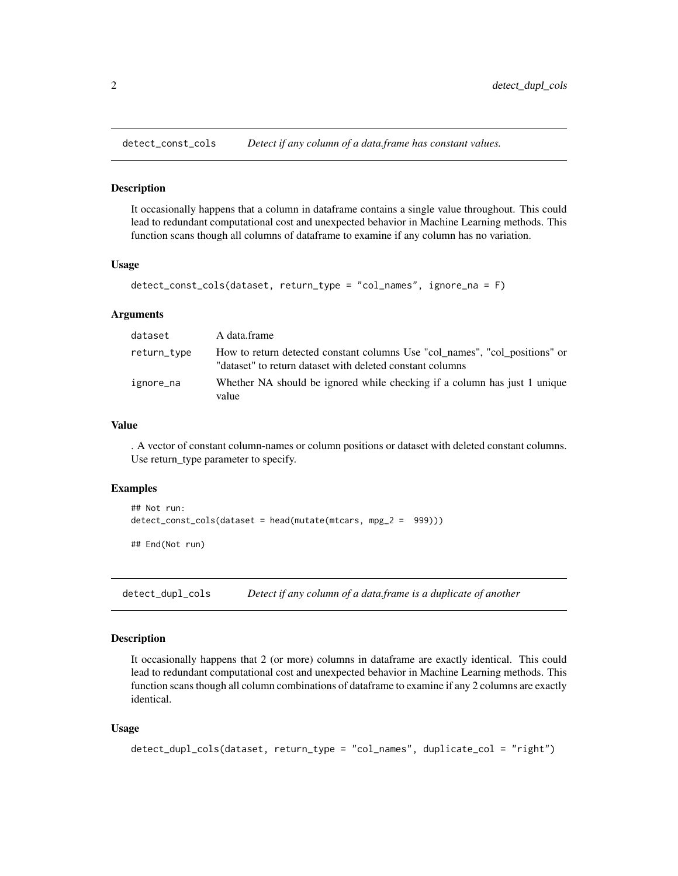<span id="page-1-0"></span>

## Description

It occasionally happens that a column in dataframe contains a single value throughout. This could lead to redundant computational cost and unexpected behavior in Machine Learning methods. This function scans though all columns of dataframe to examine if any column has no variation.

#### Usage

```
detect_const_cols(dataset, return_type = "col_names", ignore_na = F)
```
#### Arguments

| dataset     | A data.frame                                                                                                                             |
|-------------|------------------------------------------------------------------------------------------------------------------------------------------|
| return_type | How to return detected constant columns Use "col_names", "col_positions" or<br>"dataset" to return dataset with deleted constant columns |
| ignore_na   | Whether NA should be ignored while checking if a column has just 1 unique<br>value                                                       |

## Value

. A vector of constant column-names or column positions or dataset with deleted constant columns. Use return\_type parameter to specify.

#### Examples

```
## Not run:
detect_const_cols(dataset = head(mutate(mtcars, mpg_2 = 999)))
## End(Not run)
```
detect\_dupl\_cols *Detect if any column of a data.frame is a duplicate of another*

## **Description**

It occasionally happens that 2 (or more) columns in dataframe are exactly identical. This could lead to redundant computational cost and unexpected behavior in Machine Learning methods. This function scans though all column combinations of dataframe to examine if any 2 columns are exactly identical.

## Usage

```
detect_dupl_cols(dataset, return_type = "col_names", duplicate_col = "right")
```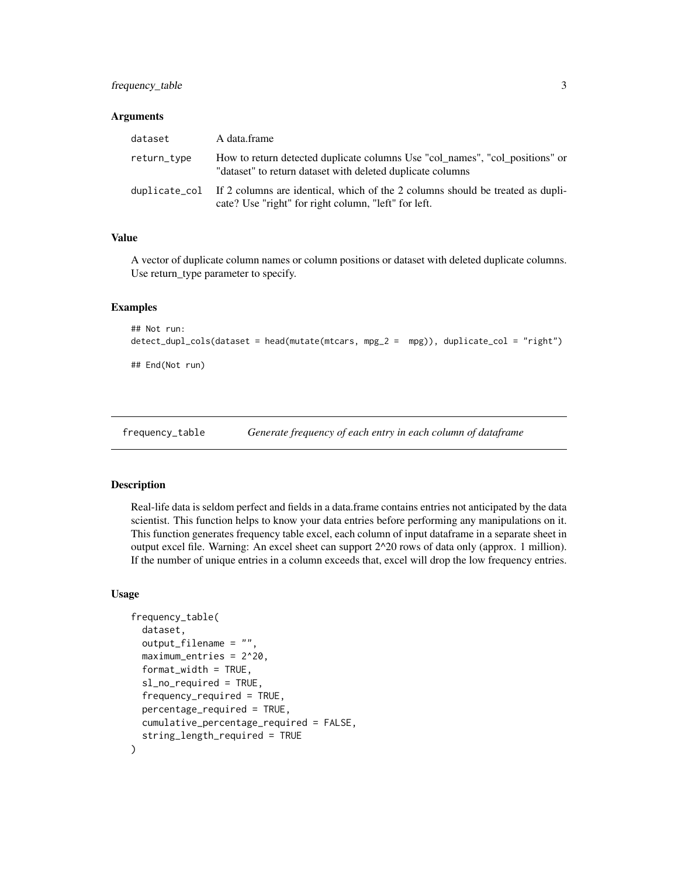## <span id="page-2-0"></span>frequency\_table 3

#### **Arguments**

| dataset     | A data.frame                                                                                                                                         |
|-------------|------------------------------------------------------------------------------------------------------------------------------------------------------|
| return_type | How to return detected duplicate columns Use "col_names", "col_positions" or<br>"dataset" to return dataset with deleted duplicate columns           |
|             | duplicate_col If 2 columns are identical, which of the 2 columns should be treated as dupli-<br>cate? Use "right" for right column, "left" for left. |

## Value

A vector of duplicate column names or column positions or dataset with deleted duplicate columns. Use return\_type parameter to specify.

#### Examples

```
## Not run:
detect_dupl_cols(dataset = head(mutate(mtcars, mpg_2 = mpg)), duplicate_col = "right")
## End(Not run)
```
frequency\_table *Generate frequency of each entry in each column of dataframe*

#### Description

Real-life data is seldom perfect and fields in a data.frame contains entries not anticipated by the data scientist. This function helps to know your data entries before performing any manipulations on it. This function generates frequency table excel, each column of input dataframe in a separate sheet in output excel file. Warning: An excel sheet can support 2^20 rows of data only (approx. 1 million). If the number of unique entries in a column exceeds that, excel will drop the low frequency entries.

#### Usage

```
frequency_table(
  dataset,
  output_filename = "",
  maximum_entries = 2^20,
  format_width = TRUE,
  sl_no_required = TRUE,
  frequency_required = TRUE,
  percentage_required = TRUE,
 cumulative_percentage_required = FALSE,
  string_length_required = TRUE
)
```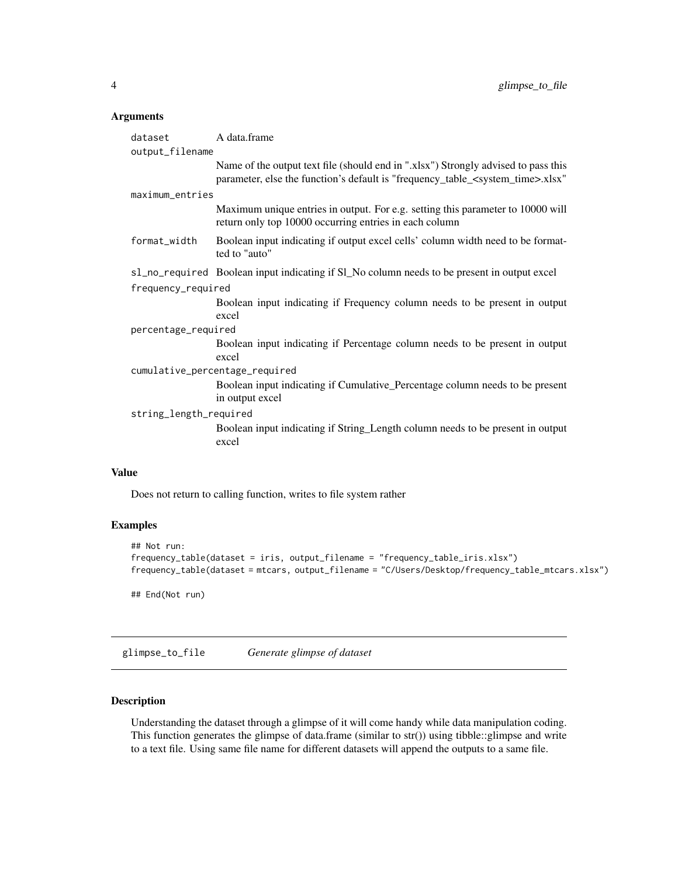## <span id="page-3-0"></span>Arguments

| dataset                        | A data.frame                                                                                                                                                                       |  |
|--------------------------------|------------------------------------------------------------------------------------------------------------------------------------------------------------------------------------|--|
| output_filename                |                                                                                                                                                                                    |  |
|                                | Name of the output text file (should end in "xlsx") Strongly advised to pass this<br>parameter, else the function's default is "frequency_table_ <system_time>.xlsx"</system_time> |  |
| maximum_entries                |                                                                                                                                                                                    |  |
|                                | Maximum unique entries in output. For e.g. setting this parameter to 10000 will<br>return only top 10000 occurring entries in each column                                          |  |
| format_width                   | Boolean input indicating if output excel cells' column width need to be format-<br>ted to "auto"                                                                                   |  |
|                                | sl_no_required Boolean input indicating if Sl_No column needs to be present in output excel                                                                                        |  |
| frequency_required             |                                                                                                                                                                                    |  |
|                                | Boolean input indicating if Frequency column needs to be present in output                                                                                                         |  |
|                                | excel                                                                                                                                                                              |  |
| percentage_required            |                                                                                                                                                                                    |  |
|                                | Boolean input indicating if Percentage column needs to be present in output                                                                                                        |  |
|                                | excel                                                                                                                                                                              |  |
| cumulative_percentage_required |                                                                                                                                                                                    |  |
|                                | Boolean input indicating if Cumulative_Percentage column needs to be present                                                                                                       |  |
|                                | in output excel                                                                                                                                                                    |  |
| string_length_required         |                                                                                                                                                                                    |  |
|                                | Boolean input indicating if String_Length column needs to be present in output<br>excel                                                                                            |  |

#### Value

Does not return to calling function, writes to file system rather

## Examples

```
## Not run:
frequency_table(dataset = iris, output_filename = "frequency_table_iris.xlsx")
frequency_table(dataset = mtcars, output_filename = "C/Users/Desktop/frequency_table_mtcars.xlsx")
## End(Not run)
```
glimpse\_to\_file *Generate glimpse of dataset*

## Description

Understanding the dataset through a glimpse of it will come handy while data manipulation coding. This function generates the glimpse of data.frame (similar to str()) using tibble::glimpse and write to a text file. Using same file name for different datasets will append the outputs to a same file.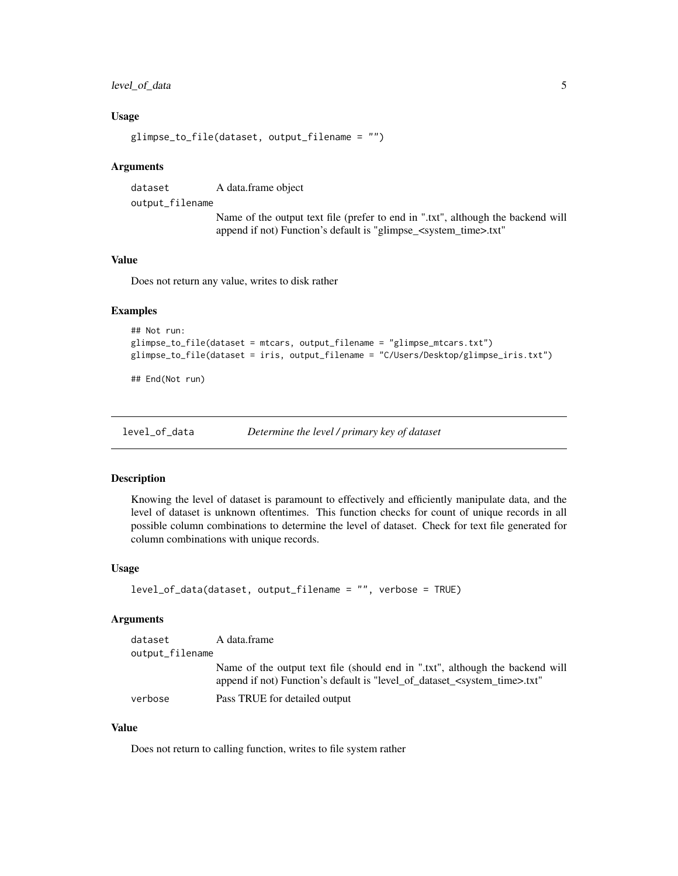## <span id="page-4-0"></span>level\_of\_data 5

#### Usage

```
glimpse_to_file(dataset, output_filename = "")
```
#### Arguments

dataset A data.frame object

output\_filename

Name of the output text file (prefer to end in ".txt", although the backend will append if not) Function's default is "glimpse\_<system\_time>.txt"

#### Value

Does not return any value, writes to disk rather

## Examples

```
## Not run:
glimpse_to_file(dataset = mtcars, output_filename = "glimpse_mtcars.txt")
glimpse_to_file(dataset = iris, output_filename = "C/Users/Desktop/glimpse_iris.txt")
```
## End(Not run)

level\_of\_data *Determine the level / primary key of dataset*

#### Description

Knowing the level of dataset is paramount to effectively and efficiently manipulate data, and the level of dataset is unknown oftentimes. This function checks for count of unique records in all possible column combinations to determine the level of dataset. Check for text file generated for column combinations with unique records.

#### Usage

```
level_of_data(dataset, output_filename = "", verbose = TRUE)
```
## Arguments

| dataset         | A data.frame                                                                                                                                                              |
|-----------------|---------------------------------------------------------------------------------------------------------------------------------------------------------------------------|
| output_filename |                                                                                                                                                                           |
|                 | Name of the output text file (should end in ".txt", although the backend will<br>append if not) Function's default is "level_of_dataset_ <system_time>.txt"</system_time> |
| verbose         | Pass TRUE for detailed output                                                                                                                                             |

## Value

Does not return to calling function, writes to file system rather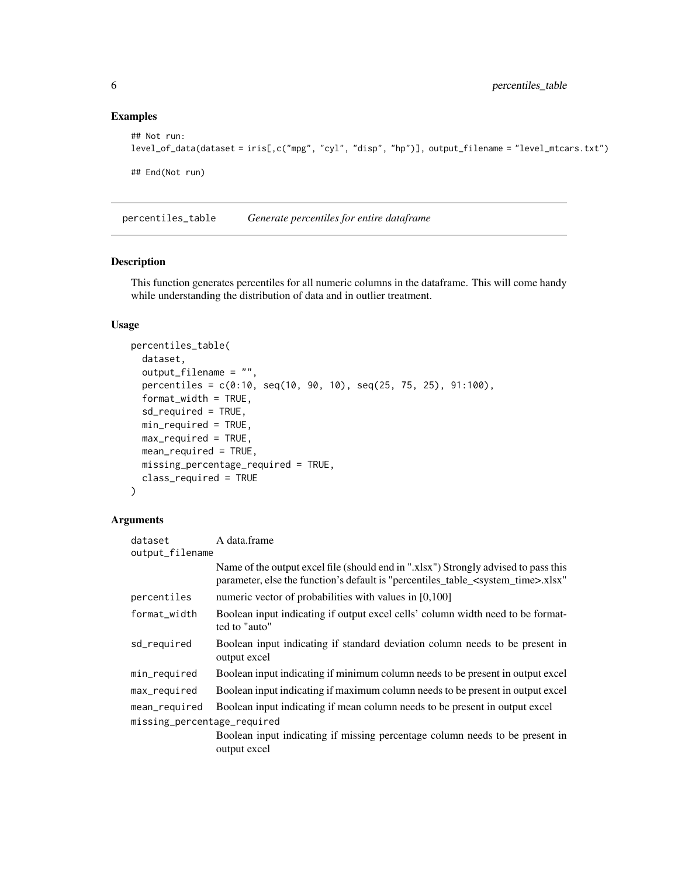## Examples

```
## Not run:
level_of_data(dataset = iris[,c("mpg", "cyl", "disp", "hp")], output_filename = "level_mtcars.txt")
## End(Not run)
```
percentiles\_table *Generate percentiles for entire dataframe*

## Description

This function generates percentiles for all numeric columns in the dataframe. This will come handy while understanding the distribution of data and in outlier treatment.

## Usage

```
percentiles_table(
  dataset,
  output_filename = "",
  percentiles = c(0:10, seq(10, 90, 10), seq(25, 75, 25), 91:100),
  format_width = TRUE,
  sd_required = TRUE,
 min_required = TRUE,
 max_required = TRUE,
 mean_required = TRUE,
 missing_percentage_required = TRUE,
 class_required = TRUE
)
```
#### Arguments

| dataset                     | A data.frame                                                                                                                                                                           |  |  |  |
|-----------------------------|----------------------------------------------------------------------------------------------------------------------------------------------------------------------------------------|--|--|--|
| output_filename             |                                                                                                                                                                                        |  |  |  |
|                             | Name of the output excel file (should end in ".xlsx") Strongly advised to pass this<br>parameter, else the function's default is "percentiles_table_ <system_time>.xlsx"</system_time> |  |  |  |
| percentiles                 | numeric vector of probabilities with values in [0,100]                                                                                                                                 |  |  |  |
| format_width                | Boolean input indicating if output excel cells' column width need to be format-<br>ted to "auto"                                                                                       |  |  |  |
| sd_required                 | Boolean input indicating if standard deviation column needs to be present in<br>output excel                                                                                           |  |  |  |
| min_required                | Boolean input indicating if minimum column needs to be present in output excel                                                                                                         |  |  |  |
| max_required                | Boolean input indicating if maximum column needs to be present in output excel                                                                                                         |  |  |  |
| mean_required               | Boolean input indicating if mean column needs to be present in output excel                                                                                                            |  |  |  |
| missing_percentage_required |                                                                                                                                                                                        |  |  |  |
|                             | Boolean input indicating if missing percentage column needs to be present in<br>output excel                                                                                           |  |  |  |

<span id="page-5-0"></span>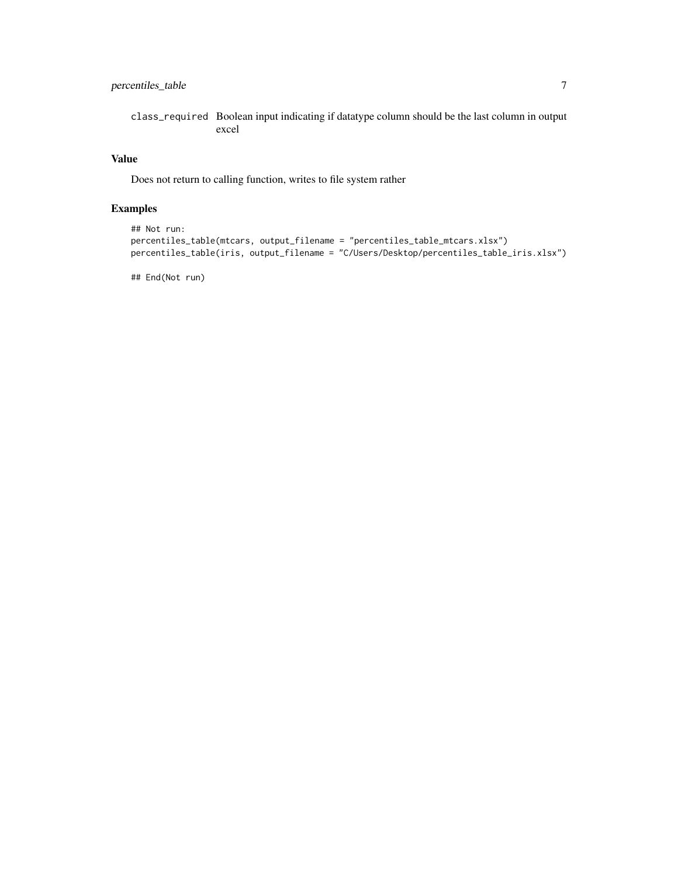## percentiles\_table 7

class\_required Boolean input indicating if datatype column should be the last column in output excel

## Value

Does not return to calling function, writes to file system rather

## Examples

```
## Not run:
percentiles_table(mtcars, output_filename = "percentiles_table_mtcars.xlsx")
percentiles_table(iris, output_filename = "C/Users/Desktop/percentiles_table_iris.xlsx")
```
## End(Not run)